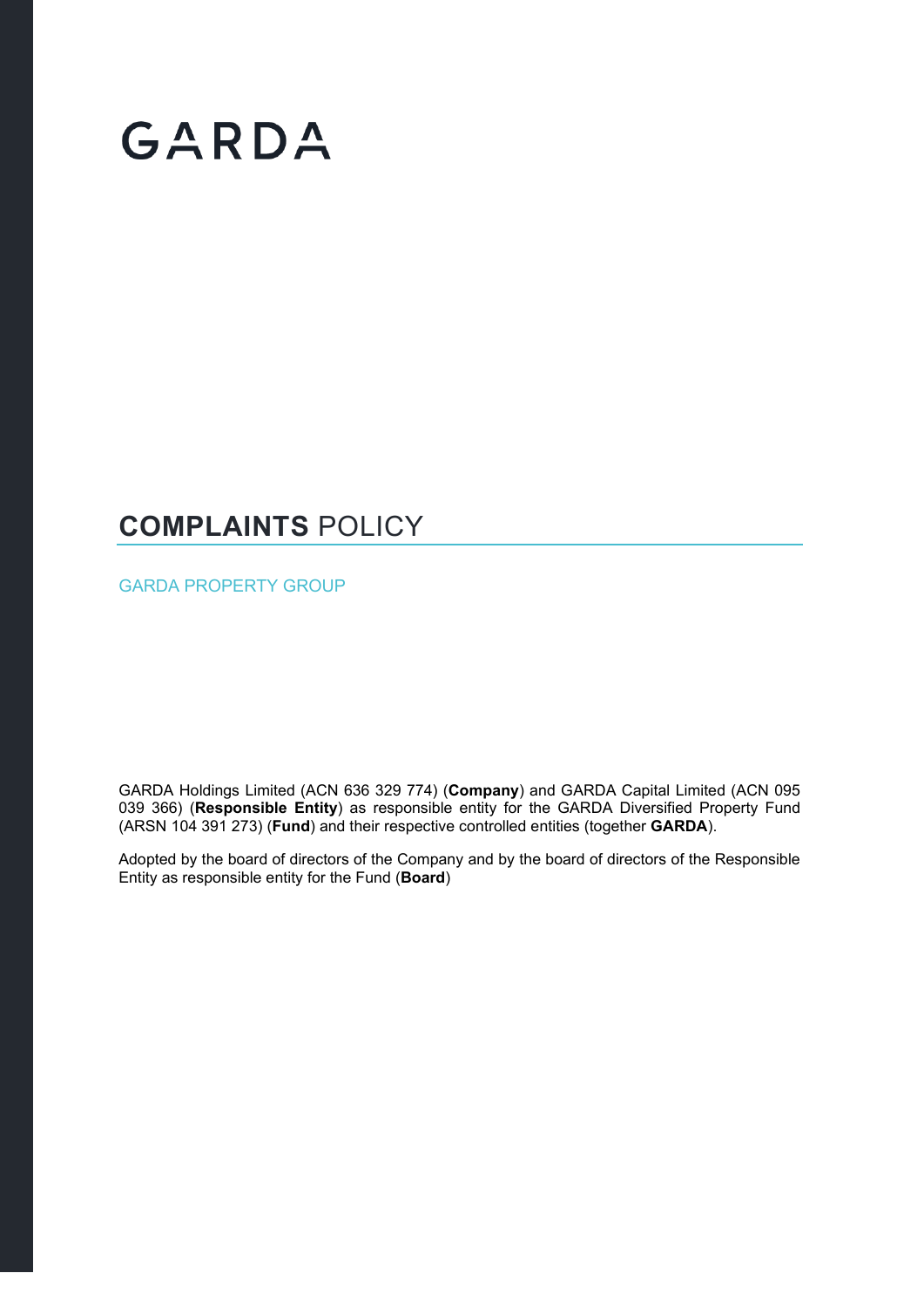# GARDA

### **COMPLAINTS** POLICY

GARDA PROPERTY GROUP

GARDA Holdings Limited (ACN 636 329 774) (**Company**) and GARDA Capital Limited (ACN 095 039 366) (**Responsible Entity**) as responsible entity for the GARDA Diversified Property Fund (ARSN 104 391 273) (**Fund**) and their respective controlled entities (together **GARDA**).

Adopted by the board of directors of the Company and by the board of directors of the Responsible Entity as responsible entity for the Fund (**Board**)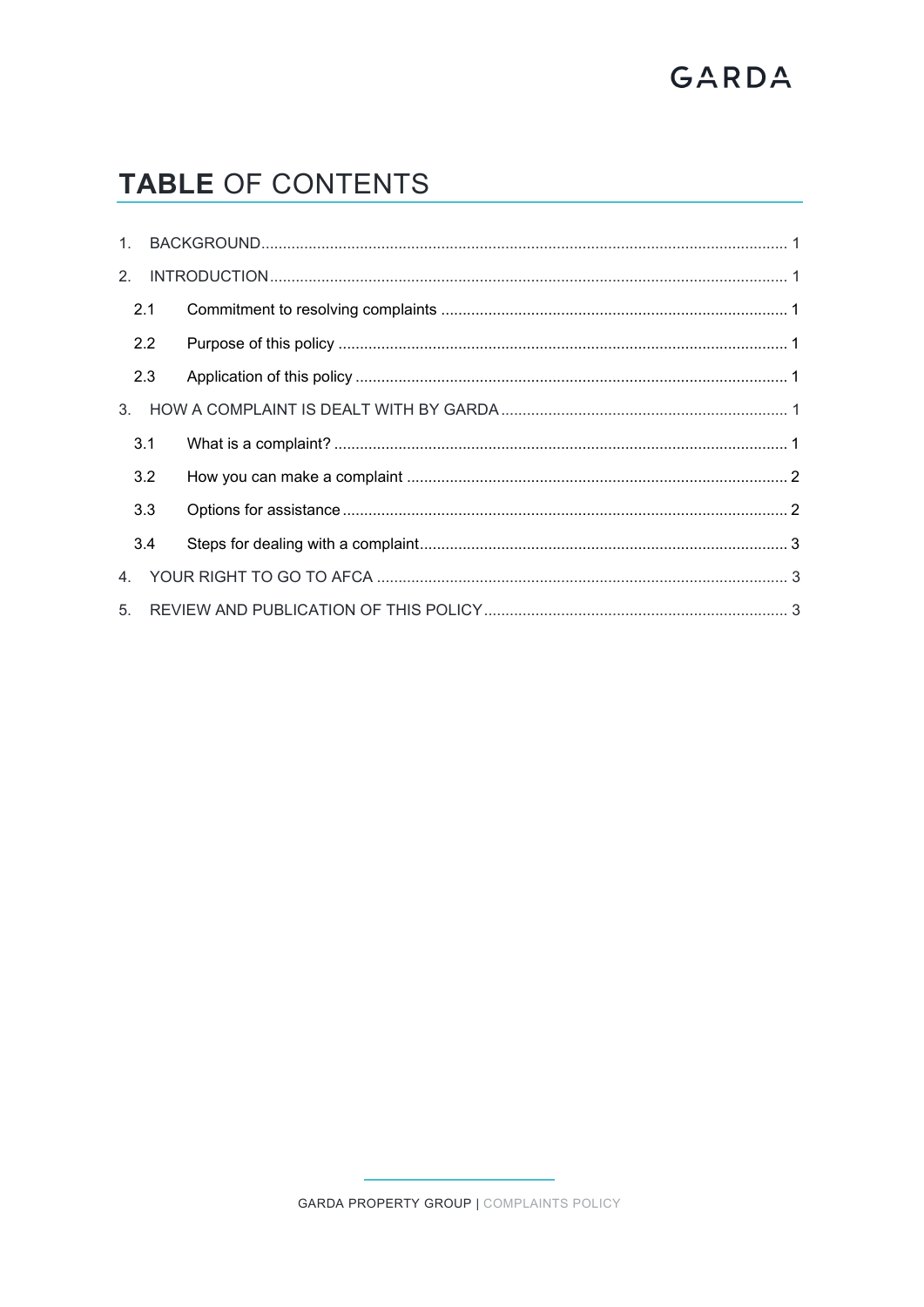## GARDA

### TABLE OF CONTENTS

|  | 2.1 |  |  |  |
|--|-----|--|--|--|
|  | 2.2 |  |  |  |
|  | 2.3 |  |  |  |
|  |     |  |  |  |
|  | 3.1 |  |  |  |
|  | 3.2 |  |  |  |
|  | 3.3 |  |  |  |
|  | 3.4 |  |  |  |
|  |     |  |  |  |
|  |     |  |  |  |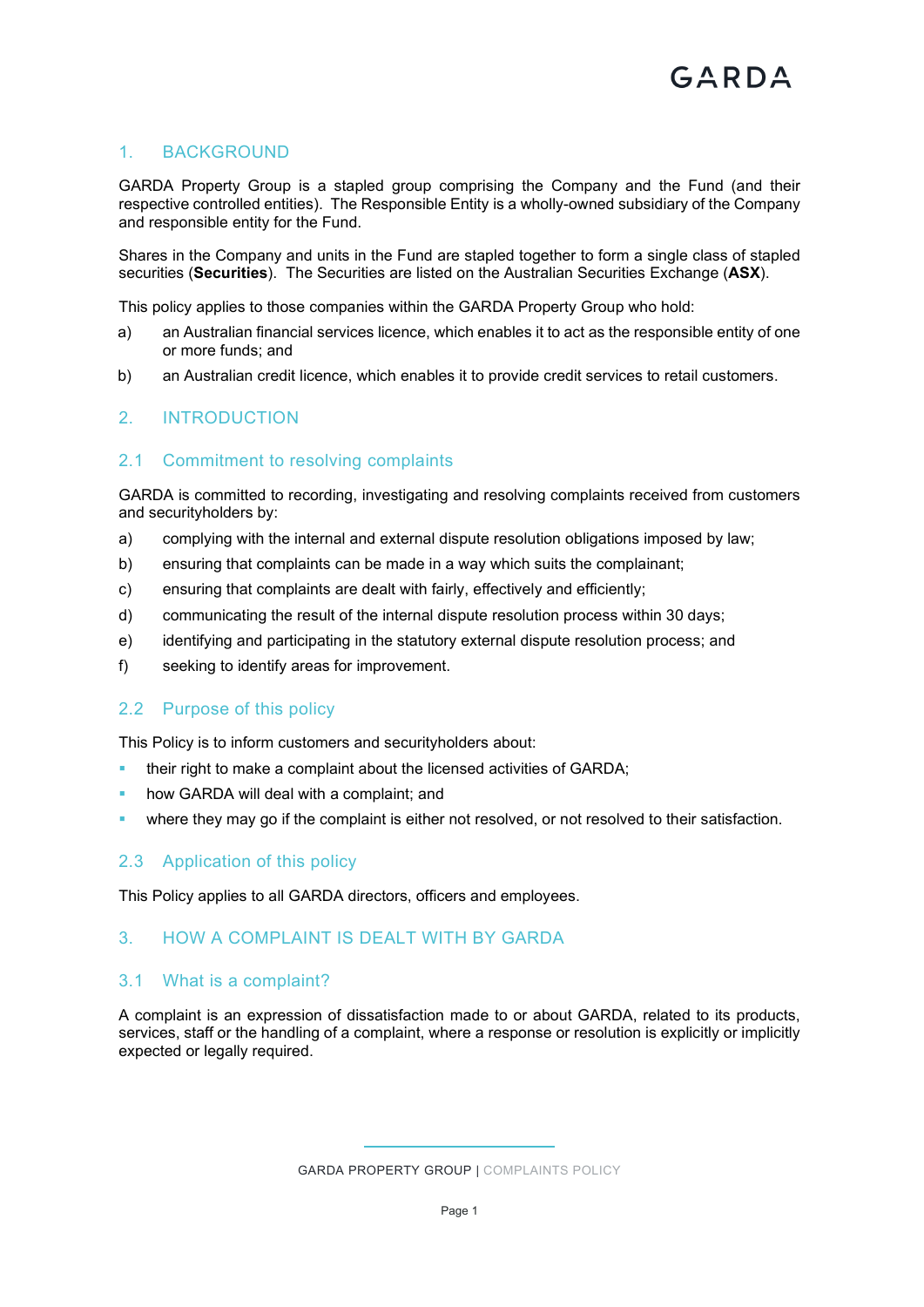#### <span id="page-2-0"></span>1. BACKGROUND

GARDA Property Group is a stapled group comprising the Company and the Fund (and their respective controlled entities). The Responsible Entity is a wholly-owned subsidiary of the Company and responsible entity for the Fund.

Shares in the Company and units in the Fund are stapled together to form a single class of stapled securities (**Securities**). The Securities are listed on the Australian Securities Exchange (**ASX**).

This policy applies to those companies within the GARDA Property Group who hold:

- a) an Australian financial services licence, which enables it to act as the responsible entity of one or more funds; and
- <span id="page-2-1"></span>b) an Australian credit licence, which enables it to provide credit services to retail customers.

#### 2. INTRODUCTION

#### <span id="page-2-2"></span>2.1 Commitment to resolving complaints

GARDA is committed to recording, investigating and resolving complaints received from customers and securityholders by:

- a) complying with the internal and external dispute resolution obligations imposed by law;
- b) ensuring that complaints can be made in a way which suits the complainant;
- c) ensuring that complaints are dealt with fairly, effectively and efficiently;
- d) communicating the result of the internal dispute resolution process within 30 days;
- e) identifying and participating in the statutory external dispute resolution process; and
- <span id="page-2-3"></span>f) seeking to identify areas for improvement.

#### 2.2 Purpose of this policy

This Policy is to inform customers and securityholders about:

- their right to make a complaint about the licensed activities of GARDA;
- how GARDA will deal with a complaint; and
- <span id="page-2-4"></span>where they may go if the complaint is either not resolved, or not resolved to their satisfaction.

#### 2.3 Application of this policy

<span id="page-2-5"></span>This Policy applies to all GARDA directors, officers and employees.

#### 3. HOW A COMPLAINT IS DEALT WITH BY GARDA

#### <span id="page-2-6"></span>3.1 What is a complaint?

A complaint is an expression of dissatisfaction made to or about GARDA, related to its products, services, staff or the handling of a complaint, where a response or resolution is explicitly or implicitly expected or legally required.

GARDA PROPERTY GROUP | COMPLAINTS POLICY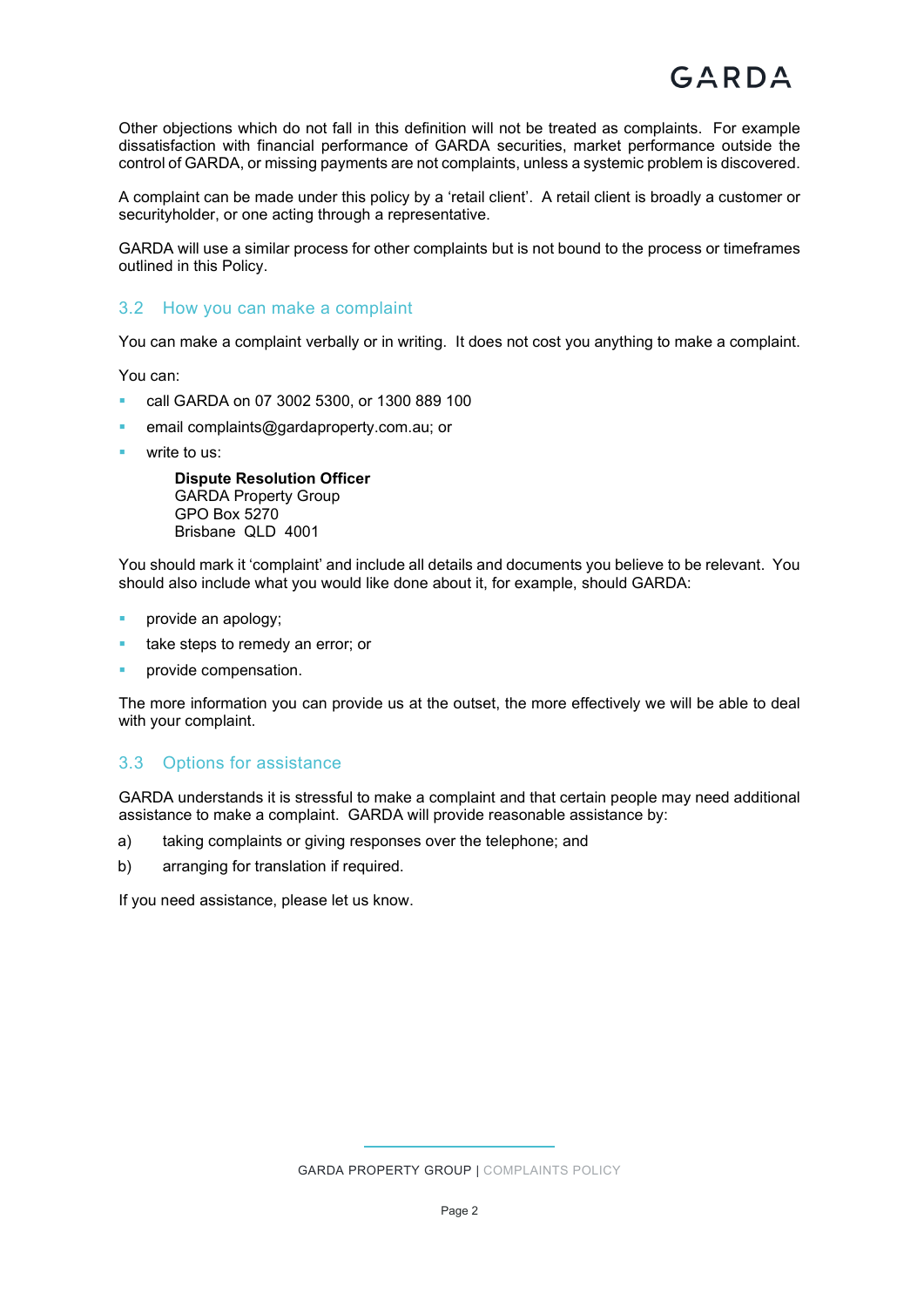Other objections which do not fall in this definition will not be treated as complaints. For example dissatisfaction with financial performance of GARDA securities, market performance outside the control of GARDA, or missing payments are not complaints, unless a systemic problem is discovered.

A complaint can be made under this policy by a 'retail client'. A retail client is broadly a customer or securityholder, or one acting through a representative.

GARDA will use a similar process for other complaints but is not bound to the process or timeframes outlined in this Policy.

#### <span id="page-3-0"></span>3.2 How you can make a complaint

You can make a complaint verbally or in writing. It does not cost you anything to make a complaint.

You can:

- call GARDA on 07 3002 5300, or 1300 889 100
- email [complaints@gardaproperty.com.au;](mailto:complaints@gardaproperty.com.au) or
- write to us:

**Dispute Resolution Officer** GARDA Property Group GPO Box 5270 Brisbane QLD 4001

You should mark it 'complaint' and include all details and documents you believe to be relevant. You should also include what you would like done about it, for example, should GARDA:

- provide an apology;
- take steps to remedy an error; or
- provide compensation.

The more information you can provide us at the outset, the more effectively we will be able to deal with your complaint.

#### <span id="page-3-1"></span>3.3 Options for assistance

GARDA understands it is stressful to make a complaint and that certain people may need additional assistance to make a complaint. GARDA will provide reasonable assistance by:

- a) taking complaints or giving responses over the telephone; and
- b) arranging for translation if required.

If you need assistance, please let us know.